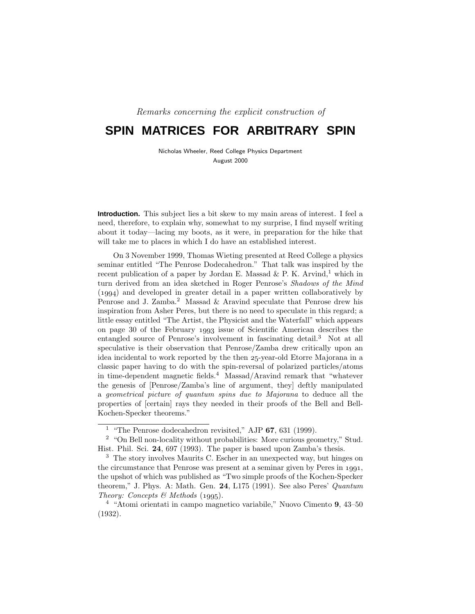Remarks concerning the explicit construction of

# **SPIN MATRICES FOR ARBITRARY SPIN**

Nicholas Wheeler, Reed College Physics Department August 2000

**Introduction.** This subject lies a bit skew to my main areas of interest. I feel a need, therefore, to explain why, somewhat to my surprise, I find myself writing about it today—lacing my boots, as it were, in preparation for the hike that will take me to places in which I do have an established interest.

On 3 November 1999, Thomas Wieting presented at Reed College a physics seminar entitled "The Penrose Dodecahedron." That talk was inspired by the recent publication of a paper by Jordan E. Massad & P. K. Arvind,<sup>1</sup> which in turn derived from an idea sketched in Roger Penrose's Shadows of the Mind  $(1994)$  and developed in greater detail in a paper written collaboratively by Penrose and J. Zamba.<sup>2</sup> Massad & Aravind speculate that Penrose drew his inspiration from Asher Peres, but there is no need to speculate in this regard; a little essay entitled "The Artist, the Physicist and the Waterfall" which appears on page 30 of the February issue of Scientific American describes the entangled source of Penrose's involvement in fascinating detail.<sup>3</sup> Not at all speculative is their observation that Penrose/Zamba drew critically upon an idea incidental to work reported by the then 25-year-old Etorre Majorana in a classic paper having to do with the spin-reversal of polarized particles/atoms in time-dependent magnetic fields.<sup>4</sup> Massad/Aravind remark that "whatever the genesis of [Penrose/Zamba's line of argument, they] deftly manipulated a geometrical picture of quantum spins due to Majorana to deduce all the properties of [certain] rays they needed in their proofs of the Bell and Bell-Kochen-Specker theorems."

<sup>1</sup> "The Penrose dodecahedron revisited," AJP **67**, 631 (1999).

<sup>&</sup>lt;sup>2</sup> "On Bell non-locality without probabilities: More curious geometry," Stud. Hist. Phil. Sci. **24**, 697 (1993). The paper is based upon Zamba's thesis.

<sup>3</sup> The story involves Maurits C. Escher in an unexpected way, but hinges on the circumstance that Penrose was present at a seminar given by Peres in  $1991$ , the upshot of which was published as "Two simple proofs of the Kochen-Specker theorem," J. Phys. A: Math. Gen. **24**, L175 (1991). See also Peres' Quantum Theory: Concepts & Methods  $(1995)$ .

<sup>4</sup> "Atomi orientati in campo magnetico variabile," Nuovo Cimento **9**, 43–50 (1932).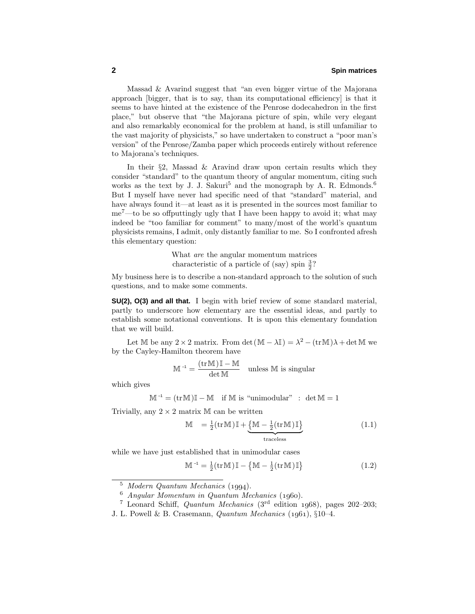Massad & Avarind suggest that "an even bigger virtue of the Majorana approach [bigger, that is to say, than its computational efficiency] is that it seems to have hinted at the existence of the Penrose dodecahedron in the first place," but observe that "the Majorana picture of spin, while very elegant and also remarkably economical for the problem at hand, is still unfamiliar to the vast majority of physicists," so have undertaken to construct a "poor man's version" of the Penrose/Zamba paper which proceeds entirely without reference to Majorana's techniques.

In their  $\S2$ , Massad & Aravind draw upon certain results which they consider "standard" to the quantum theory of angular momentum, citing such works as the text by J. J. Sakuri<sup>5</sup> and the monograph by A. R. Edmonds.<sup>6</sup> But I myself have never had specific need of that "standard" material, and have always found it—at least as it is presented in the sources most familiar to  $me^7$ —to be so offputtingly ugly that I have been happy to avoid it; what may indeed be "too familiar for comment" to many/most of the world's quantum physicists remains, I admit, only distantly familiar to me. So I confronted afresh this elementary question:

> What are the angular momentum matrices characteristic of a particle of (say) spin  $\frac{3}{2}$ ?

My business here is to describe a non-standard approach to the solution of such questions, and to make some comments.

**SU(2), O(3) and all that.** I begin with brief review of some standard material, partly to underscore how elementary are the essential ideas, and partly to establish some notational conventions. It is upon this elementary foundation that we will build.

Let M be any  $2 \times 2$  matrix. From det  $(M - \lambda I) = \lambda^2 - (\text{tr} M)\lambda + \det M$  we by the Cayley-Hamilton theorem have

$$
\mathbb{M}^{-1} = \frac{(\text{tr}\,\mathbb{M}\,)\,\mathbb{I} - \mathbb{M}}{\det\,\mathbb{M}} \quad \text{unless } \mathbb{M} \text{ is singular}
$$

which gives

 $\mathbb{M}^{-1} = (\text{tr}\,\mathbb{M})\mathbb{I} - \mathbb{M}$  if  $\mathbb{M}$  is "unimodular" : det  $\mathbb{M} = 1$ 

Trivially, any  $2 \times 2$  matrix M can be written

$$
\mathbb{M} = \frac{1}{2} (\text{tr}\,\mathbb{M}) \mathbb{I} + \underbrace{\{\mathbb{M} - \frac{1}{2} (\text{tr}\,\mathbb{M}) \mathbb{I}\}}_{\text{traceless}} \tag{1.1}
$$

while we have just established that in unimodular cases

$$
\mathbb{M}^{-1} = \frac{1}{2}(\operatorname{tr}\mathbb{M})\mathbb{I} - \left\{\mathbb{M} - \frac{1}{2}(\operatorname{tr}\mathbb{M})\mathbb{I}\right\} \tag{1.2}
$$

 $5$  Modern Quantum Mechanics (1994).

 $6$  Angular Momentum in Quantum Mechanics (1960).

<sup>&</sup>lt;sup>7</sup> Leonard Schiff, *Quantum Mechanics* ( $3<sup>rd</sup>$  edition 1968), pages 202–203;

J. L. Powell & B. Crasemann, *Quantum Mechanics* (1961),  $\S10-4$ .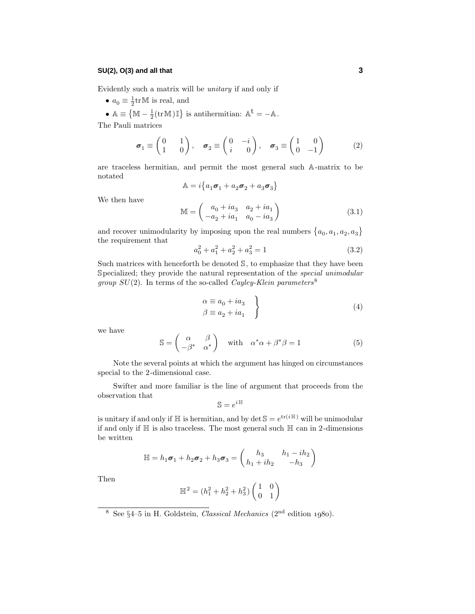## **SU(2), O(3) and all that 3**

Evidently such a matrix will be unitary if and only if

- $a_0 \equiv \frac{1}{2} \text{tr} \mathbb{M}$  is real, and
- $\mathbb{A} \equiv \{ \mathbb{M} \frac{1}{2} (\text{tr} \mathbb{M}) \mathbb{I} \}$  is antihermitian:  $\mathbb{A}^{\text{t}} = -\mathbb{A}$ .

The Pauli matrices

$$
\boldsymbol{\sigma}_1 \equiv \begin{pmatrix} 0 & 1 \\ 1 & 0 \end{pmatrix}, \quad \boldsymbol{\sigma}_2 \equiv \begin{pmatrix} 0 & -i \\ i & 0 \end{pmatrix}, \quad \boldsymbol{\sigma}_3 \equiv \begin{pmatrix} 1 & 0 \\ 0 & -1 \end{pmatrix} \tag{2}
$$

are traceless hermitian, and permit the most general such A-matrix to be notated

$$
\mathbb{A} = i \big\{ a_1 \boldsymbol{\sigma}_1 + a_2 \boldsymbol{\sigma}_2 + a_3 \boldsymbol{\sigma}_3 \big\}
$$

We then have

$$
\mathbb{M} = \begin{pmatrix} a_0 + ia_3 & a_2 + ia_1 \\ -a_2 + ia_1 & a_0 - ia_3 \end{pmatrix}
$$
 (3.1)

and recover unimodularity by imposing upon the real numbers  $\{a_0, a_1, a_2, a_3\}$ the requirement that

$$
a_0^2 + a_1^2 + a_2^2 + a_3^2 = 1\tag{3.2}
$$

Such matrices with henceforth be denoted S, to emphasize that they have been Specialized; they provide the natural representation of the special unimodular *group*  $SU(2)$ . In terms of the so-called *Cayley-Klein parameters*<sup>8</sup>

$$
\begin{aligned}\n\alpha &\equiv a_0 + i a_3 \\
\beta &\equiv a_2 + i a_1\n\end{aligned}\n\tag{4}
$$

we have

$$
\mathbb{S} = \begin{pmatrix} \alpha & \beta \\ -\beta^* & \alpha^* \end{pmatrix} \quad \text{with} \quad \alpha^* \alpha + \beta^* \beta = 1 \tag{5}
$$

Note the several points at which the argument has hinged on circumstances special to the 2-dimensional case.

Swifter and more familiar is the line of argument that proceeds from the observation that

$$
\mathbb{S}=e^{i\,\mathbb{H}}
$$

is unitary if and only if  $\mathbb{H}$  is hermitian, and by det  $\mathbb{S} = e^{\text{tr}(i\mathbb{H})}$  will be unimodular if and only if  $\mathbb H$  is also traceless. The most general such  $\mathbb H$  can in 2-dimensions be written

$$
\mathbb{H} = h_1 \sigma_1 + h_2 \sigma_2 + h_3 \sigma_3 = \begin{pmatrix} h_3 & h_1 - ih_2 \\ h_1 + ih_2 & -h_3 \end{pmatrix}
$$

Then

$$
\mathbb{H}^2 = (h_1^2 + h_2^2 + h_3^2) \begin{pmatrix} 1 & 0 \\ 0 & 1 \end{pmatrix}
$$

<sup>&</sup>lt;sup>8</sup> See §4–5 in H. Goldstein, *Classical Mechanics* (2<sup>nd</sup> edition 1980).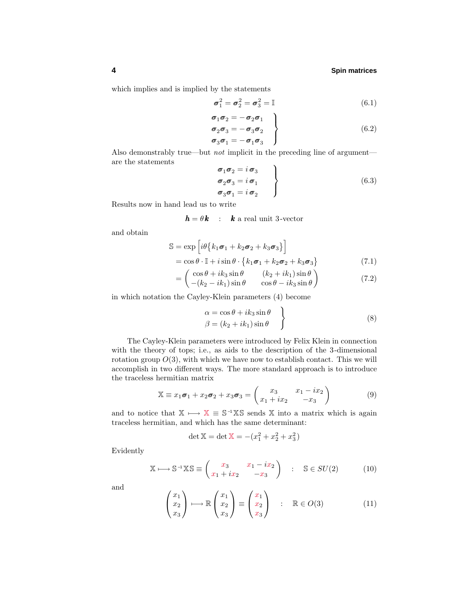which implies and is implied by the statements

$$
\sigma_1^2 = \sigma_2^2 = \sigma_3^2 = \mathbb{I}
$$
\n(6.1)

$$
\begin{aligned}\n\sigma_1 \sigma_2 &= -\sigma_2 \sigma_1 \\
\sigma_2 \sigma_3 &= -\sigma_3 \sigma_2 \\
\sigma_3 \sigma_1 &= -\sigma_1 \sigma_3\n\end{aligned}
$$
\n(6.2)

Also demonstrably true—but *not* implicit in the preceding line of argument are the statements *i* 

$$
\begin{aligned}\n\sigma_1 \sigma_2 &= i \sigma_3 \\
\sigma_2 \sigma_3 &= i \sigma_1 \\
\sigma_3 \sigma_1 &= i \sigma_2\n\end{aligned}
$$
\n(6.3)

Results now in hand lead us to write

 $h = \theta k$  : *k* a real unit 3-vector

and obtain

$$
\mathbb{S} = \exp\left[i\theta \left\{k_1\sigma_1 + k_2\sigma_2 + k_3\sigma_3\right\}\right] \n= \cos\theta \cdot \mathbb{I} + i\sin\theta \cdot \left\{k_1\sigma_1 + k_2\sigma_2 + k_3\sigma_3\right\}
$$
\n(7.1)

$$
= \begin{pmatrix} \cos \theta + ik_3 \sin \theta & (k_2 + ik_1) \sin \theta \\ (k_2 + ik_1) \sin \theta & \cos \theta & ik_1 \sin \theta \end{pmatrix}
$$
(7.2)

$$
= \left( -(k_2 - ik_1) \sin \theta \cos \theta - ik_3 \sin \theta \right)
$$

in which notation the Cayley-Klein parameters (4) become

$$
\alpha = \cos \theta + ik_3 \sin \theta \n\beta = (k_2 + ik_1) \sin \theta
$$
\n(8)

The Cayley-Klein parameters were introduced by Felix Klein in connection with the theory of tops; i.e., as aids to the description of the 3-dimensional rotation group  $O(3)$ , with which we have now to establish contact. This we will accomplish in two different ways. The more standard approach is to introduce the traceless hermitian matrix

$$
\mathbb{X} \equiv x_1 \sigma_1 + x_2 \sigma_2 + x_3 \sigma_3 = \begin{pmatrix} x_3 & x_1 - ix_2 \\ x_1 + ix_2 & -x_3 \end{pmatrix}
$$
(9)

and to notice that  $X \rightarrow X \equiv S^{-1}XS$  sends X into a matrix which is again traceless hermitian, and which has the same determinant:

$$
\det \mathbb{X} = \det \mathbb{X} = -(x_1^2 + x_2^2 + x_3^2)
$$

Evidently

$$
\mathbb{X} \longmapsto \mathbb{S}^{-1} \mathbb{X} \mathbb{S} \equiv \begin{pmatrix} x_3 & x_1 - ix_2 \\ x_1 + ix_2 & -x_3 \end{pmatrix} \quad : \quad \mathbb{S} \in SU(2) \tag{10}
$$

and

$$
\begin{pmatrix} x_1 \\ x_2 \\ x_3 \end{pmatrix} \longmapsto \mathbb{R} \begin{pmatrix} x_1 \\ x_2 \\ x_3 \end{pmatrix} \equiv \begin{pmatrix} x_1 \\ x_2 \\ x_3 \end{pmatrix} : \mathbb{R} \in O(3)
$$
 (11)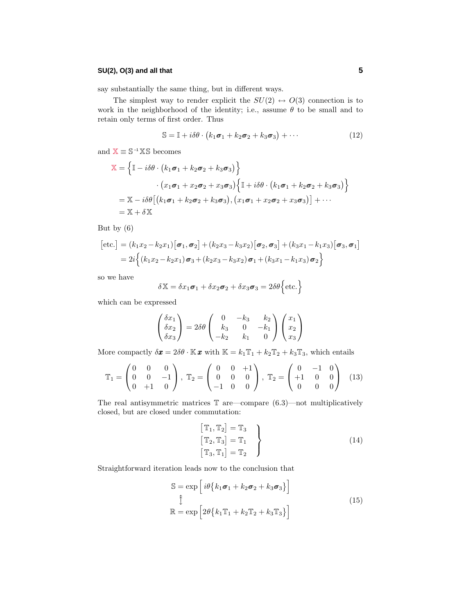# **SU(2), O(3) and all that 5**

say substantially the same thing, but in different ways.

The simplest way to render explicit the  $SU(2) \leftrightarrow O(3)$  connection is to work in the neighborhood of the identity; i.e., assume *θ* to be small and to retain only terms of first order. Thus

$$
\mathbb{S} = \mathbb{I} + i\delta\theta \cdot \left(k_1\sigma_1 + k_2\sigma_2 + k_3\sigma_3\right) + \cdots \tag{12}
$$

and  $X \equiv S^{-1}XS$  becomes

$$
\mathbb{X} = \left\{ \mathbb{I} - i\delta\theta \cdot \left( k_1 \boldsymbol{\sigma}_1 + k_2 \boldsymbol{\sigma}_2 + k_3 \boldsymbol{\sigma}_3 \right) \right\}
$$

$$
\cdot \left( x_1 \boldsymbol{\sigma}_1 + x_2 \boldsymbol{\sigma}_2 + x_3 \boldsymbol{\sigma}_3 \right) \left\{ \mathbb{I} + i\delta\theta \cdot \left( k_1 \boldsymbol{\sigma}_1 + k_2 \boldsymbol{\sigma}_2 + k_3 \boldsymbol{\sigma}_3 \right) \right\}
$$

$$
= \mathbb{X} - i\delta\theta \left[ \left( k_1 \boldsymbol{\sigma}_1 + k_2 \boldsymbol{\sigma}_2 + k_3 \boldsymbol{\sigma}_3 \right), \left( x_1 \boldsymbol{\sigma}_1 + x_2 \boldsymbol{\sigma}_2 + x_3 \boldsymbol{\sigma}_3 \right) \right] + \cdots
$$

$$
= \mathbb{X} + \delta \mathbb{X}
$$

But by (6)

$$
[\text{etc.}] = (k_1x_2 - k_2x_1)[\sigma_1, \sigma_2] + (k_2x_3 - k_3x_2)[\sigma_2, \sigma_3] + (k_3x_1 - k_1x_3)[\sigma_3, \sigma_1]
$$
  
=  $2i \left\{ (k_1x_2 - k_2x_1)\sigma_3 + (k_2x_3 - k_3x_2)\sigma_1 + (k_3x_1 - k_1x_3)\sigma_2 \right\}$ 

so we have

$$
\delta \mathbb{X} = \delta x_1 \sigma_1 + \delta x_2 \sigma_2 + \delta x_3 \sigma_3 = 2\delta \theta \{ \text{etc.} \}
$$

which can be expressed

$$
\begin{pmatrix}\n\delta x_1 \\
\delta x_2 \\
\delta x_3\n\end{pmatrix} = 2\delta\theta \begin{pmatrix}\n0 & -k_3 & k_2 \\
k_3 & 0 & -k_1 \\
-k_2 & k_1 & 0\n\end{pmatrix} \begin{pmatrix}\nx_1 \\
x_2 \\
x_3\n\end{pmatrix}
$$

More compactly  $\delta \mathbf{x} = 2\delta \theta \cdot \mathbb{K} \mathbf{x}$  with  $\mathbb{K} = k_1 \mathbb{T}_1 + k_2 \mathbb{T}_2 + k_3 \mathbb{T}_3$ , which entails

$$
\mathbb{T}_1 = \begin{pmatrix} 0 & 0 & 0 \\ 0 & 0 & -1 \\ 0 & +1 & 0 \end{pmatrix}, \ \mathbb{T}_2 = \begin{pmatrix} 0 & 0 & +1 \\ 0 & 0 & 0 \\ -1 & 0 & 0 \end{pmatrix}, \ \mathbb{T}_2 = \begin{pmatrix} 0 & -1 & 0 \\ +1 & 0 & 0 \\ 0 & 0 & 0 \end{pmatrix} \tag{13}
$$

The real antisymmetric matrices  $\mathbb T$  are—compare (6.3)—not multiplicatively closed, but are closed under commutation:

$$
\begin{aligned}\n\left[\mathbb{T}_1, \mathbb{T}_2\right] &= \mathbb{T}_3 \\
\left[\mathbb{T}_2, \mathbb{T}_3\right] &= \mathbb{T}_1 \\
\left[\mathbb{T}_3, \mathbb{T}_1\right] &= \mathbb{T}_2\n\end{aligned}\n\tag{14}
$$

Straightforward iteration leads now to the conclusion that

$$
S = \exp\left[i\theta \left\{k_1\sigma_1 + k_2\sigma_2 + k_3\sigma_3\right\}\right]
$$
  

$$
\hat{\updownarrow}
$$
  

$$
\mathbb{R} = \exp\left[2\theta \left\{k_1\mathbb{T}_1 + k_2\mathbb{T}_2 + k_3\mathbb{T}_3\right\}\right]
$$
 (15)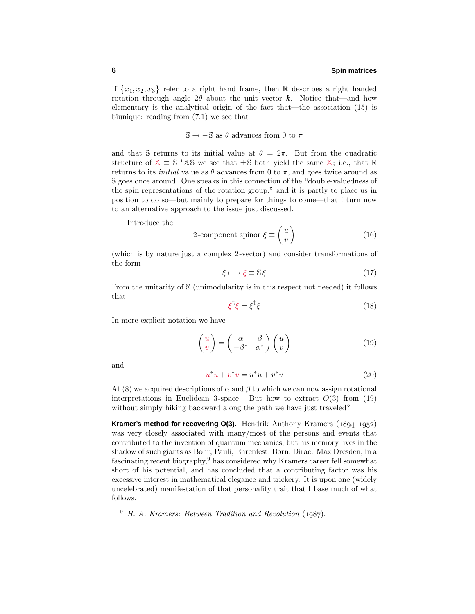If  $\{x_1, x_2, x_3\}$  refer to a right hand frame, then R describes a right handed rotation through angle  $2\theta$  about the unit vector **k**. Notice that—and how elementary is the analytical origin of the fact that—the association (15) is biunique: reading from (7.1) we see that

 $\mathbb{S} \rightarrow -\mathbb{S}$  as  $\theta$  advances from 0 to  $\pi$ 

and that S returns to its initial value at  $\theta = 2\pi$ . But from the quadratic structure of  $X \equiv S^{-1}XS$  we see that  $\pm S$  both yield the same X; i.e., that R returns to its *initial* value as  $\theta$  advances from 0 to  $\pi$ , and goes twice around as S goes once around. One speaks in this connection of the "double-valuedness of the spin representations of the rotation group," and it is partly to place us in position to do so—but mainly to prepare for things to come—that I turn now to an alternative approach to the issue just discussed.

Introduce the

$$
2\text{-component spinor }\xi \equiv \begin{pmatrix} u \\ v \end{pmatrix} \tag{16}
$$

(which is by nature just a complex 2-vector) and consider transformations of the form

$$
\xi \longmapsto \xi \equiv \mathbb{S}\,\xi \tag{17}
$$

From the unitarity of S (unimodularity is in this respect not needed) it follows that

$$
\xi^{\dagger}\xi = \xi^{\dagger}\xi \tag{18}
$$

In more explicit notation we have

$$
\begin{pmatrix} u \\ v \end{pmatrix} = \begin{pmatrix} \alpha & \beta \\ -\beta^* & \alpha^* \end{pmatrix} \begin{pmatrix} u \\ v \end{pmatrix} \tag{19}
$$

and

$$
u^*u + v^*v = u^*u + v^*v \tag{20}
$$

At (8) we acquired descriptions of  $\alpha$  and  $\beta$  to which we can now assign rotational interpretations in Euclidean 3-space. But how to extract  $O(3)$  from  $(19)$ without simply hiking backward along the path we have just traveled?

**Kramer's method for recovering O(3).** Hendrik Anthony Kramers  $(1894-1952)$ was very closely associated with many/most of the persons and events that contributed to the invention of quantum mechanics, but his memory lives in the shadow of such giants as Bohr, Pauli, Ehrenfest, Born, Dirac. Max Dresden, in a fascinating recent biography,<sup>9</sup> has considered why Kramers career fell somewhat short of his potential, and has concluded that a contributing factor was his excessive interest in mathematical elegance and trickery. It is upon one (widely uncelebrated) manifestation of that personality trait that I base much of what follows.

 $9\,$  H. A. Kramers: Between Tradition and Revolution (1987).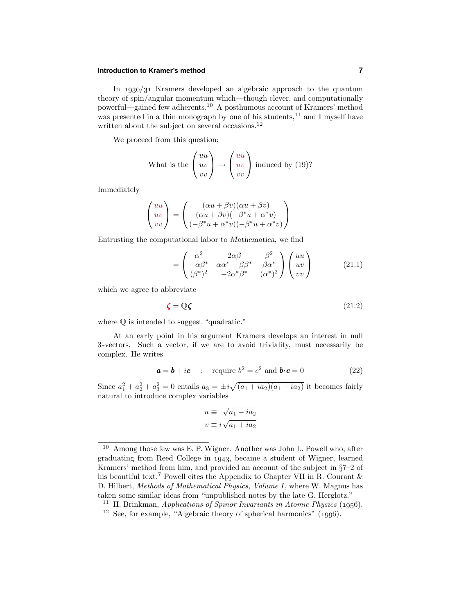#### **Introduction to Kramer's method 7**

In  $1930/31$  Kramers developed an algebraic approach to the quantum theory of spin/angular momentum which—though clever, and computationally powerful—gained few adherents.<sup>10</sup> A posthumous account of Kramers' method was presented in a thin monograph by one of his students,  $^{11}$  and I myself have written about the subject on several occasions. $^{12}$ 

We proceed from this question:

What is the 
$$
\begin{pmatrix} uu \\ uv \\ vv \end{pmatrix} \rightarrow \begin{pmatrix} uu \\ uv \\ vv \end{pmatrix}
$$
 induced by (19)?

Immediately

$$
\begin{pmatrix} uu \\ uv \\ vv \end{pmatrix} = \begin{pmatrix} (\alpha u + \beta v)(\alpha u + \beta v) \\ (\alpha u + \beta v)(-\beta^* u + \alpha^* v) \\ (-\beta^* u + \alpha^* v)(-\beta^* u + \alpha^* v) \end{pmatrix}
$$

Entrusting the computational labor to *Mathematica*, we find

$$
= \begin{pmatrix} \alpha^2 & 2\alpha\beta & \beta^2\\ -\alpha\beta^* & \alpha\alpha^* - \beta\beta^* & \beta\alpha^*\\ (\beta^*)^2 & -2\alpha^*\beta^* & (\alpha^*)^2 \end{pmatrix} \begin{pmatrix} uu\\ uv\\ vv \end{pmatrix}
$$
(21.1)

which we agree to abbreviate

$$
\boldsymbol{\zeta} = \mathbb{Q}\boldsymbol{\zeta} \tag{21.2}
$$

where  $\mathbb Q$  is intended to suggest "quadratic."

At an early point in his argument Kramers develops an interest in null 3-vectors. Such a vector, if we are to avoid triviality, must necessarily be complex. He writes

$$
a = b + ic
$$
 : require  $b^2 = c^2$  and  $b \cdot c = 0$  (22)

Since  $a_1^2 + a_2^2 + a_3^2 = 0$  entails  $a_3 = \pm i \sqrt{(a_1 + ia_2)(a_1 - ia_2)}$  it becomes fairly natural to introduce complex variables

$$
u \equiv \sqrt{a_1 - ia_2}
$$
  

$$
v \equiv i\sqrt{a_1 + ia_2}
$$

<sup>10</sup> Among those few was E. P. Wigner. Another was John L. Powell who, after graduating from Reed College in 1943, became a student of Wigner, learned Kramers' method from him, and provided an account of the subject in §7–2 of his beautiful text.<sup>7</sup> Powell cites the Appendix to Chapter VII in R. Courant  $\&$ D. Hilbert, Methods of Mathematical Physics, Volume I, where W. Magnus has taken some similar ideas from "unpublished notes by the late G. Herglotz."

<sup>&</sup>lt;sup>11</sup> H. Brinkman, *Applications of Spinor Invariants in Atomic Physics* (1956).

<sup>&</sup>lt;sup>12</sup> See, for example, "Algebraic theory of spherical harmonics"  $(1996)$ .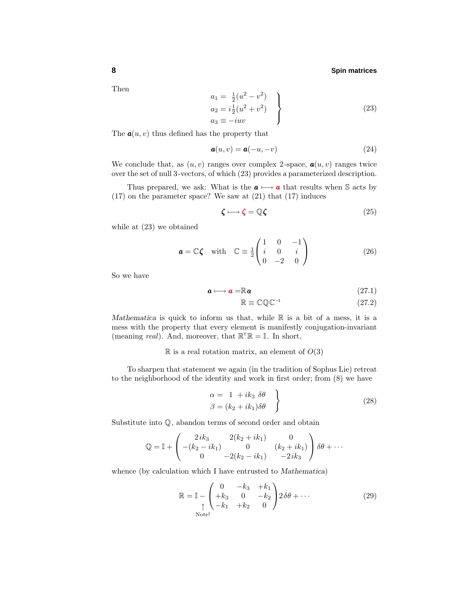Then

$$
a_1 = \frac{1}{2}(u^2 - v^2)
$$
  
\n
$$
a_2 = i\frac{1}{2}(u^2 + v^2)
$$
  
\n
$$
a_3 \equiv -iuv
$$
\n(23)

The  $a(u, v)$  thus defined has the property that

$$
\mathbf{a}(u,v) = \mathbf{a}(-u,-v) \tag{24}
$$

We conclude that, as  $(u, v)$  ranges over complex 2-space,  $a(u, v)$  ranges twice over the set of null 3-vectors, of which (23) provides a parameterized description.

Thus prepared, we ask: What is the  $a \mapsto a$  that results when S acts by (17) on the parameter space? We saw at (21) that (17) induces

$$
\zeta \longmapsto \zeta = \mathbb{Q}\zeta \tag{25}
$$

while at (23) we obtained

$$
\mathbf{a} = \mathbb{C}\boldsymbol{\zeta} \quad \text{with} \quad \mathbb{C} \equiv \frac{1}{2} \begin{pmatrix} 1 & 0 & -1 \\ i & 0 & i \\ 0 & -2 & 0 \end{pmatrix} \tag{26}
$$

So we have

$$
\mathbf{a} \longmapsto \mathbf{a} = \mathbb{R}\mathbf{a} \tag{27.1}
$$

$$
\mathbb{R} \equiv \mathbb{C} \mathbb{Q} \mathbb{C}^{-1} \tag{27.2}
$$

*Mathematica* is quick to inform us that, while  $\mathbb R$  is a bit of a mess, it is a mess with the property that every element is manifestly conjugation-invariant (meaning *real*). And, moreover, that  $\mathbb{R}^{\mathsf{T}}\mathbb{R} = \mathbb{I}$ . In short,

#### $\mathbb R$  is a real rotation matrix, an element of  $O(3)$

To sharpen that statement we again (in the tradition of Sophus Lie) retreat to the neighborhood of the identity and work in first order; from (8) we have

$$
\begin{aligned}\n\alpha &= 1 + ik_3 \delta\theta \\
\beta &= (k_2 + ik_1)\delta\theta\n\end{aligned}
$$
\n(28)

Substitute into Q, abandon terms of second order and obtain

$$
\mathbb{Q} = \mathbb{I} + \begin{pmatrix} 2ik_3 & 2(k_2 + ik_1) & 0 \\ -(k_2 - ik_1) & 0 & (k_2 + ik_1) \\ 0 & -2(k_2 - ik_1) & -2ik_3 \end{pmatrix} \delta\theta + \cdots
$$

whence (by calculation which I have entrusted to *Mathematica*)

$$
\mathbb{R} = \mathbb{I} - \begin{pmatrix} 0 & -k_3 & +k_1 \\ +k_3 & 0 & -k_2 \\ -k_1 & +k_2 & 0 \end{pmatrix} 2\delta\theta + \cdots
$$
 (29)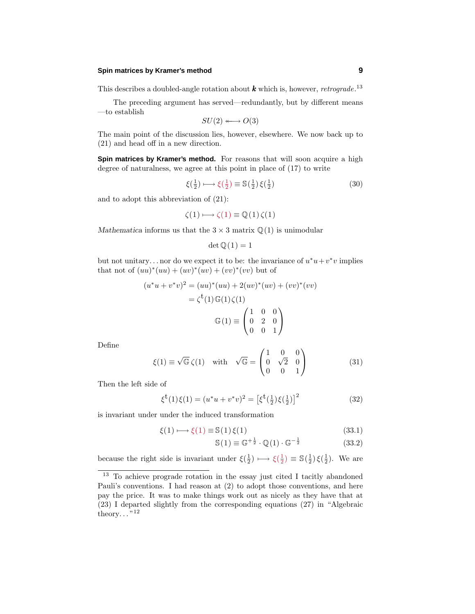#### **Spin matrices by Kramer's method 9**

This describes a doubled-angle rotation about  $k$  which is, however, *retrograde*.<sup>13</sup>

The preceding argument has served—redundantly, but by different means —to establish

$$
SU(2) \longleftrightarrow O(3)
$$

The main point of the discussion lies, however, elsewhere. We now back up to (21) and head off in a new direction.

**Spin matrices by Kramer's method.** For reasons that will soon acquire a high degree of naturalness, we agree at this point in place of (17) to write

$$
\xi(\frac{1}{2}) \longmapsto \xi(\frac{1}{2}) \equiv \mathbb{S}(\frac{1}{2}) \xi(\frac{1}{2}) \tag{30}
$$

and to adopt this abbreviation of (21):

$$
\zeta(1) \longmapsto \zeta(1) \equiv \mathbb{Q}(1)\,\zeta(1)
$$

*Mathematica* informs us that the  $3 \times 3$  matrix  $\mathbb{Q}(1)$  is unimodular

$$
\det \mathbb{Q}(1) = 1
$$

but not unitary...nor do we expect it to be: the invariance of  $u^*u + v^*v$  implies that not of  $(uu)^*(uu) + (uv)^*(uv) + (vv)^*(vv)$  but of

$$
(u^*u + v^*v)^2 = (uu)^*(uu) + 2(uv)^*(uv) + (vv)^*(vv)
$$

$$
= \zeta^{\mathfrak{t}}(1) \mathbb{G}(1) \zeta(1)
$$

$$
\mathbb{G}(1) \equiv \begin{pmatrix} 1 & 0 & 0 \\ 0 & 2 & 0 \\ 0 & 0 & 1 \end{pmatrix}
$$

Define

$$
\xi(1) \equiv \sqrt{\mathbb{G}} \zeta(1) \quad \text{with} \quad \sqrt{\mathbb{G}} = \begin{pmatrix} 1 & 0 & 0 \\ 0 & \sqrt{2} & 0 \\ 0 & 0 & 1 \end{pmatrix}
$$
 (31)

Then the left side of

$$
\xi^{\mathbf{t}}(1)\xi(1) = (u^*u + v^*v)^2 = \left[\xi^{\mathbf{t}}(\frac{1}{2})\xi(\frac{1}{2})\right]^2\tag{32}
$$

is invariant under under the induced transformation

$$
\xi(1) \longmapsto \xi(1) \equiv \mathbb{S}(1)\,\xi(1) \tag{33.1}
$$

$$
\mathbb{S}(1) \equiv \mathbb{G}^{+\frac{1}{2}} \cdot \mathbb{Q}(1) \cdot \mathbb{G}^{-\frac{1}{2}} \tag{33.2}
$$

because the right side is invariant under  $\xi(\frac{1}{2}) \mapsto \xi(\frac{1}{2}) \equiv \mathbb{S}(\frac{1}{2}) \xi(\frac{1}{2})$ . We are

<sup>13</sup> To achieve prograde rotation in the essay just cited I tacitly abandoned Pauli's conventions. I had reason at (2) to adopt those conventions, and here pay the price. It was to make things work out as nicely as they have that at (23) I departed slightly from the corresponding equations (27) in "Algebraic theory... $^{"12}$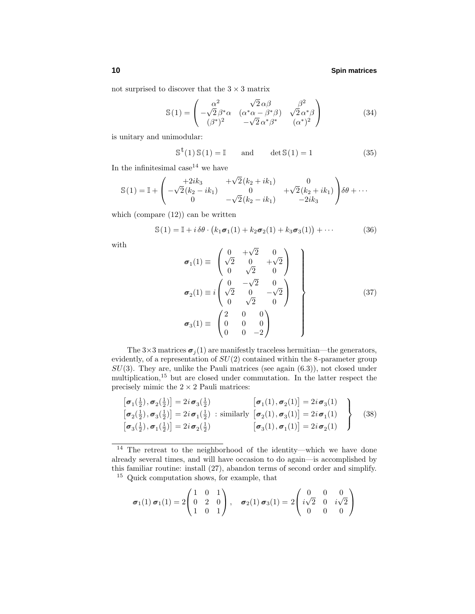not surprised to discover that the  $3\times 3$  matrix

$$
\mathbb{S}(1) = \begin{pmatrix} \alpha^2 & \sqrt{2} \alpha \beta & \beta^2 \\ -\sqrt{2} \beta^* \alpha & (\alpha^* \alpha - \beta^* \beta) & \sqrt{2} \alpha^* \beta \\ (\beta^*)^2 & -\sqrt{2} \alpha^* \beta^* & (\alpha^*)^2 \end{pmatrix}
$$
(34)

is unitary and unimodular:

$$
\mathbb{S}^{\mathsf{t}}(1)\,\mathbb{S}(1) = \mathbb{I} \qquad \text{and} \qquad \det \mathbb{S}(1) = 1 \tag{35}
$$

In the infinitesimal case  $14$  we have

$$
\mathbb{S}(1) = \mathbb{I} + \begin{pmatrix} +2ik_3 & +\sqrt{2}(k_2 + ik_1) & 0 \\ -\sqrt{2}(k_2 - ik_1) & 0 & +\sqrt{2}(k_2 + ik_1) \\ 0 & -\sqrt{2}(k_2 - ik_1) & -2ik_3 \end{pmatrix} \delta\theta + \cdots
$$

which (compare  $(12)$ ) can be written

$$
\mathbb{S}(1) = \mathbb{I} + i \,\delta\theta \cdot \big(k_1 \sigma_1(1) + k_2 \sigma_2(1) + k_3 \sigma_3(1)\big) + \cdots \tag{36}
$$

with

$$
\sigma_1(1) \equiv \begin{pmatrix} 0 & +\sqrt{2} & 0 \\ \sqrt{2} & 0 & +\sqrt{2} \\ 0 & \sqrt{2} & 0 \end{pmatrix}
$$
  
\n
$$
\sigma_2(1) \equiv i \begin{pmatrix} 0 & -\sqrt{2} & 0 \\ \sqrt{2} & 0 & -\sqrt{2} \\ 0 & \sqrt{2} & 0 \end{pmatrix}
$$
  
\n
$$
\sigma_3(1) \equiv \begin{pmatrix} 2 & 0 & 0 \\ 0 & 0 & 0 \\ 0 & 0 & -2 \end{pmatrix}
$$
 (37)

The  $3\times3$  matrices  $\sigma_j(1)$  are manifestly traceless hermitian—the generators, evidently, of a representation of *SU*(2) contained within the 8-parameter group *SU*(3). They are, unlike the Pauli matrices (see again (6.3)), not closed under multiplication,<sup>15</sup> but are closed under commutation. In the latter respect the precisely mimic the  $2 \times 2$  Pauli matrices:

$$
\begin{bmatrix}\n\sigma_1(\frac{1}{2}), \sigma_2(\frac{1}{2})\n\end{bmatrix} = 2i \sigma_3(\frac{1}{2}) \qquad [\sigma_1(1), \sigma_2(1)] = 2i \sigma_3(1) \n\begin{bmatrix}\n\sigma_2(\frac{1}{2}), \sigma_3(\frac{1}{2})\n\end{bmatrix} = 2i \sigma_1(\frac{1}{2}) \text{ similarly } [\sigma_2(1), \sigma_3(1)] = 2i \sigma_1(1) \n\begin{bmatrix}\n\sigma_3(\frac{1}{2}), \sigma_1(\frac{1}{2})\n\end{bmatrix} = 2i \sigma_2(\frac{1}{2}) \qquad [\sigma_3(1), \sigma_1(1)] = 2i \sigma_2(1)
$$
\n(38)

$$
\sigma_1(1) \sigma_1(1) = 2\begin{pmatrix} 1 & 0 & 1 \\ 0 & 2 & 0 \\ 1 & 0 & 1 \end{pmatrix}, \quad \sigma_2(1) \sigma_3(1) = 2\begin{pmatrix} 0 & 0 & 0 \\ i\sqrt{2} & 0 & i\sqrt{2} \\ 0 & 0 & 0 \end{pmatrix}
$$

<sup>14</sup> The retreat to the neighborhood of the identity—which we have done already several times, and will have occasion to do again—is accomplished by this familiar routine: install (27), abandon terms of second order and simplify. <sup>15</sup> Quick computation shows, for example, that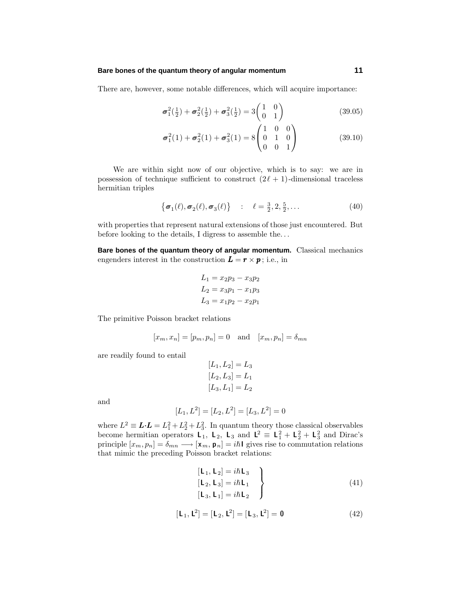#### **Bare bones of the quantum theory of angular momentum 11**

There are, however, some notable differences, which will acquire importance:

$$
\sigma_1^2(\frac{1}{2}) + \sigma_2^2(\frac{1}{2}) + \sigma_3^2(\frac{1}{2}) = 3\begin{pmatrix} 1 & 0\\ 0 & 1 \end{pmatrix}
$$
 (39.05)

$$
\sigma_1^2(1) + \sigma_2^2(1) + \sigma_3^2(1) = 8 \begin{pmatrix} 1 & 0 & 0 \\ 0 & 1 & 0 \\ 0 & 0 & 1 \end{pmatrix}
$$
 (39.10)

We are within sight now of our objective, which is to say: we are in possession of technique sufficient to construct  $(2\ell + 1)$ -dimensional traceless hermitian triples

$$
\{\sigma_1(\ell), \sigma_2(\ell), \sigma_3(\ell)\} : \ell = \frac{3}{2}, 2, \frac{5}{2}, \dots
$$
 (40)

with properties that represent natural extensions of those just encountered. But before looking to the details, I digress to assemble the*...*

**Bare bones of the quantum theory of angular momentum.** Classical mechanics engenders interest in the construction  $\mathbf{L} = \mathbf{r} \times \mathbf{p}$ ; i.e., in

$$
L_1 = x_2p_3 - x_3p_2
$$
  
\n
$$
L_2 = x_3p_1 - x_1p_3
$$
  
\n
$$
L_3 = x_1p_2 - x_2p_1
$$

The primitive Poisson bracket relations

$$
[x_m, x_n] = [p_m, p_n] = 0
$$
 and  $[x_m, p_n] = \delta_{mn}$ 

are readily found to entail

$$
[L_1, L_2] = L_3
$$
  
\n
$$
[L_2, L_3] = L_1
$$
  
\n
$$
[L_3, L_1] = L_2
$$

and

$$
[L_1, L^2] = [L_2, L^2] = [L_3, L^2] = 0
$$

where  $L^2 \equiv L \cdot L = L_1^2 + L_2^2 + L_3^2$ . In quantum theory those classical observables become hermitian operators  $\mathbf{L}_1$ ,  $\mathbf{L}_2$ ,  $\mathbf{L}_3$  and  $\mathbf{L}^2 = \mathbf{L}_1^2 + \mathbf{L}_2^2 + \mathbf{L}_3^2$  and Dirac's principle  $[x_m, p_n] = \delta_{mn} \longrightarrow [\mathbf{x}_m, \mathbf{p}_n] = i\hbar \mathbf{I}$  gives rise to commutation relations that mimic the preceding Poisson bracket relations:

$$
\begin{aligned}\n[\mathbf{L}_1, \mathbf{L}_2] &= i\hbar \mathbf{L}_3\\ \n[\mathbf{L}_2, \mathbf{L}_3] &= i\hbar \mathbf{L}_1\\ \n[\mathbf{L}_3, \mathbf{L}_1] &= i\hbar \mathbf{L}_2\n\end{aligned}
$$
\n(41)

$$
[\mathbf{L}_1, \mathbf{L}^2] = [\mathbf{L}_2, \mathbf{L}^2] = [\mathbf{L}_3, \mathbf{L}^2] = \mathbf{0}
$$
 (42)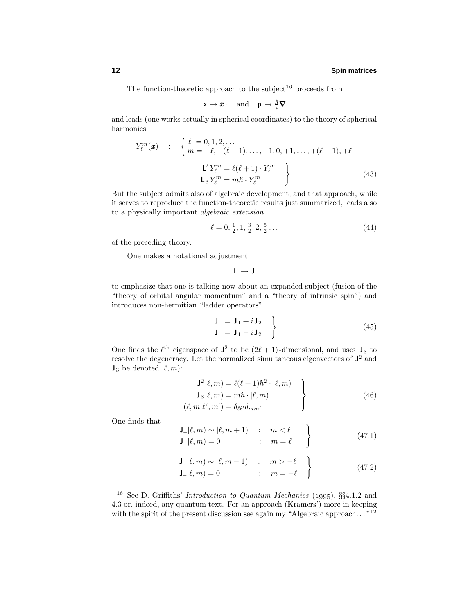The function-theoretic approach to the subject<sup>16</sup> proceeds from

$$
\mathbf{x} \to \mathbf{x} \quad \text{and} \quad \mathbf{p} \to \frac{\hbar}{i} \nabla
$$

and leads (one works actually in spherical coordinates) to the theory of spherical harmonics

$$
Y_{\ell}^{m}(\boldsymbol{x}) \quad : \quad \left\{ \begin{array}{l} \ell = 0, 1, 2, \dots \\ m = -\ell, -(\ell - 1), \dots, -1, 0, +1, \dots, +(\ell - 1), +\ell \end{array} \right.
$$
\n
$$
\begin{array}{l} \mathbf{L}^{2} Y_{\ell}^{m} = \ell(\ell + 1) \cdot Y_{\ell}^{m} \\ \mathbf{L}_{3} Y_{\ell}^{m} = m\hbar \cdot Y_{\ell}^{m} \end{array} \right\}
$$
\n(43)

But the subject admits also of algebraic development, and that approach, while it serves to reproduce the function-theoretic results just summarized, leads also to a physically important algebraic extension

$$
\ell = 0, \frac{1}{2}, 1, \frac{3}{2}, 2, \frac{5}{2} \dots \tag{44}
$$

of the preceding theory.

One makes a notational adjustment

**L** → **J**

to emphasize that one is talking now about an expanded subject (fusion of the "theory of orbital angular momentum" and a "theory of intrinsic spin") and introduces non-hermitian "ladder operators"

$$
\left.\begin{array}{c}\n\mathbf{J}_{+} = \mathbf{J}_{1} + i \mathbf{J}_{2} \\
\mathbf{J}_{-} = \mathbf{J}_{1} - i \mathbf{J}_{2}\n\end{array}\right\}\n\tag{45}
$$

One finds the  $\ell^{\text{th}}$  eigenspace of  $J^2$  to be  $(2\ell + 1)$ -dimensional, and uses  $J_3$  to resolve the degeneracy. Let the normalized simultaneous eigenvectors of **J**<sup>2</sup> and  $\mathbf{J}_3$  be denoted  $|\ell, m$ :

$$
\begin{aligned}\n\mathbf{J}^2|\ell,m) &= \ell(\ell+1)\hbar^2 \cdot |\ell,m) \\
\mathbf{J}_3|\ell,m) &= m\hbar \cdot |\ell,m) \\
(\ell,m|\ell',m') &= \delta_{\ell\ell'}\delta_{mm'}\n\end{aligned} \tag{46}
$$

One finds that

$$
\mathbf{J}_{+}|\ell,m\rangle \sim |\ell,m+1\rangle \quad : \quad m < \ell \quad \}
$$
  

$$
\mathbf{J}_{+}|\ell,m\rangle = 0 \quad : \quad m = \ell \quad \}
$$
 (47.1)

$$
\mathbf{J}_{-}|\ell,m\rangle \sim |\ell,m-1\rangle \quad : \quad m > -\ell
$$
  

$$
\mathbf{J}_{+}|\ell,m\rangle = 0 \qquad : \quad m = -\ell
$$
 (47.2)

<sup>&</sup>lt;sup>16</sup> See D. Griffiths' *Introduction to Quantum Mechanics* (1995),  $\S$ §4.1.2 and 4.3 or, indeed, any quantum text. For an approach (Kramers') more in keeping with the spirit of the present discussion see again my "Algebraic approach*...* "<sup>12</sup>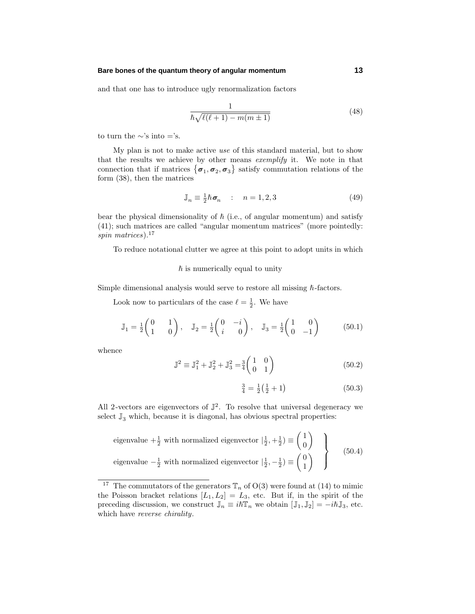#### **Bare bones of the quantum theory of angular momentum 13**

and that one has to introduce ugly renormalization factors

$$
\frac{1}{\hbar\sqrt{\ell(\ell+1) - m(m\pm 1)}}\tag{48}
$$

to turn the ∼'s into ='s.

My plan is not to make active use of this standard material, but to show that the results we achieve by other means exemplify it. We note in that connection that if matrices  $\{\sigma_1, \sigma_2, \sigma_3\}$  satisfy commutation relations of the form (38), then the matrices

$$
\mathbb{J}_n \equiv \frac{1}{2}\hbar \,\pmb{\sigma}_n \qquad : \quad n = 1, 2, 3 \tag{49}
$$

bear the physical dimensionality of  $\hbar$  (i.e., of angular momentum) and satisfy (41); such matrices are called "angular momentum matrices" (more pointedly: spin matrices).<sup>17</sup>

To reduce notational clutter we agree at this point to adopt units in which

#### $\hbar$  is numerically equal to unity

Simple dimensional analysis would serve to restore all missing  $\hbar$ -factors.

Look now to particulars of the case  $\ell = \frac{1}{2}$ . We have

$$
\mathbb{J}_1 = \frac{1}{2} \begin{pmatrix} 0 & 1 \\ 1 & 0 \end{pmatrix}, \quad \mathbb{J}_2 = \frac{1}{2} \begin{pmatrix} 0 & -i \\ i & 0 \end{pmatrix}, \quad \mathbb{J}_3 = \frac{1}{2} \begin{pmatrix} 1 & 0 \\ 0 & -1 \end{pmatrix}
$$
 (50.1)

whence

$$
\mathbb{J}^2 \equiv \mathbb{J}_1^2 + \mathbb{J}_2^2 + \mathbb{J}_3^2 = \frac{3}{4} \begin{pmatrix} 1 & 0 \\ 0 & 1 \end{pmatrix}
$$
 (50.2)

$$
\frac{3}{4} = \frac{1}{2} \left( \frac{1}{2} + 1 \right) \tag{50.3}
$$

All 2-vectors are eigenvectors of  $\mathbb{J}^2$ . To resolve that universal degeneracy we select  $\mathbb{J}_3$  which, because it is diagonal, has obvious spectral properties:

eigenvalue 
$$
+\frac{1}{2}
$$
 with normalized eigenvector  $|\frac{1}{2}, +\frac{1}{2}) \equiv \begin{pmatrix} 1 \\ 0 \end{pmatrix}$   
eigenvalue  $-\frac{1}{2}$  with normalized eigenvector  $|\frac{1}{2}, -\frac{1}{2}) \equiv \begin{pmatrix} 0 \\ 1 \end{pmatrix}$  (50.4)

<sup>&</sup>lt;sup>17</sup> The commutators of the generators  $\mathbb{T}_n$  of O(3) were found at (14) to mimic the Poisson bracket relations  $[L_1, L_2] = L_3$ , etc. But if, in the spirit of the preceding discussion, we construct  $\mathbb{J}_n \equiv i\hbar \mathbb{T}_n$  we obtain  $[\mathbb{J}_1, \mathbb{J}_2] = -i\hbar \mathbb{J}_3$ , etc. which have *reverse chirality*.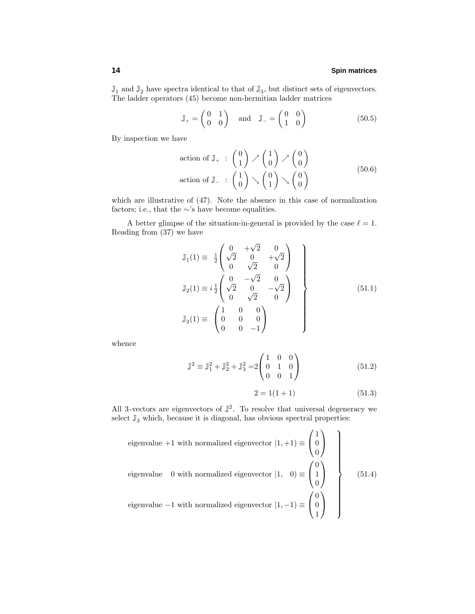$\mathbb{J}_1$  and  $\mathbb{J}_2$  have spectra identical to that of  $\mathbb{J}_3$ , but distinct sets of eigenvectors. The ladder operators (45) become non-hermitian ladder matrices

$$
\mathbb{J}_{+} = \begin{pmatrix} 0 & 1 \\ 0 & 0 \end{pmatrix} \quad \text{and} \quad \mathbb{J}_{-} = \begin{pmatrix} 0 & 0 \\ 1 & 0 \end{pmatrix} \tag{50.5}
$$

By inspection we have

$$
\begin{array}{ll}\text{action of } \mathbb{J}_+ & : \begin{pmatrix} 0 \\ 1 \end{pmatrix} \nearrow \begin{pmatrix} 1 \\ 0 \end{pmatrix} \nearrow \begin{pmatrix} 0 \\ 0 \end{pmatrix} \\ \text{action of } \mathbb{J}_- & : \begin{pmatrix} 1 \\ 0 \end{pmatrix} \searrow \begin{pmatrix} 0 \\ 1 \end{pmatrix} \searrow \begin{pmatrix} 0 \\ 0 \end{pmatrix} \end{array} \tag{50.6}
$$

which are illustrative of (47). Note the absence in this case of normalization factors; i.e., that the  $\sim$ 's have become equalities.

A better glimpse of the situation-in-general is provided by the case  $\ell = 1$ . Reading from (37) we have

$$
\mathbb{J}_1(1) \equiv \frac{1}{2} \begin{pmatrix} 0 & +\sqrt{2} & 0 \\ \sqrt{2} & 0 & +\sqrt{2} \\ 0 & \sqrt{2} & 0 \end{pmatrix}
$$

$$
\mathbb{J}_2(1) \equiv i \frac{1}{2} \begin{pmatrix} 0 & -\sqrt{2} & 0 \\ \sqrt{2} & 0 & -\sqrt{2} \\ 0 & \sqrt{2} & 0 \end{pmatrix}
$$

$$
\mathbb{J}_3(1) \equiv \begin{pmatrix} 1 & 0 & 0 \\ 0 & 0 & 0 \\ 0 & 0 & -1 \end{pmatrix}
$$
(51.1)

whence

$$
\mathbb{J}^2 \equiv \mathbb{J}_1^2 + \mathbb{J}_2^2 + \mathbb{J}_3^2 = 2 \begin{pmatrix} 1 & 0 & 0 \\ 0 & 1 & 0 \\ 0 & 0 & 1 \end{pmatrix}
$$
 (51.2)

$$
2 = 1(1+1) \tag{51.3}
$$

All 3-vectors are eigenvectors of  $\mathbb{J}^2$ . To resolve that universal degeneracy we select  $\mathbb{J}_3$  which, because it is diagonal, has obvious spectral properties:

eigenvalue +1 with normalized eigenvector 
$$
|1, +1\rangle \equiv \begin{pmatrix} 1 \\ 0 \\ 0 \end{pmatrix}
$$
  
eigenvalue 0 with normalized eigenvector  $|1, 0\rangle \equiv \begin{pmatrix} 0 \\ 1 \\ 0 \end{pmatrix}$   
eigenvalue -1 with normalized eigenvector  $|1, -1\rangle \equiv \begin{pmatrix} 0 \\ 0 \\ 1 \end{pmatrix}$  (51.4)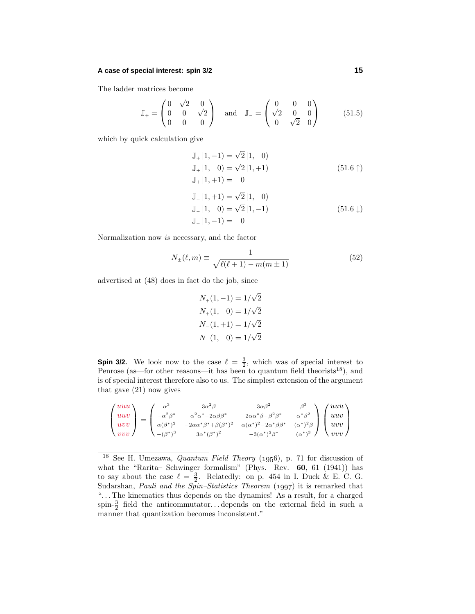#### **A case of special interest: spin 3/2 15**

The ladder matrices become

$$
\mathbb{J}_{+} = \begin{pmatrix} 0 & \sqrt{2} & 0 \\ 0 & 0 & \sqrt{2} \\ 0 & 0 & 0 \end{pmatrix} \text{ and } \mathbb{J}_{-} = \begin{pmatrix} 0 & 0 & 0 \\ \sqrt{2} & 0 & 0 \\ 0 & \sqrt{2} & 0 \end{pmatrix}
$$
 (51.5)

which by quick calculation give

$$
J_{+}|1,-1) = \sqrt{2} |1, 0)
$$
  
\n
$$
J_{+}|1, 0) = \sqrt{2} |1, +1)
$$
  
\n
$$
J_{+}|1, +1) = 0
$$
  
\n
$$
J_{-}|1, +1) = \sqrt{2} |1, 0)
$$
  
\n
$$
J_{-}|1, 0) = \sqrt{2} |1, -1)
$$
  
\n
$$
J_{-}|1, -1) = 0
$$
  
\n(51.6 $\downarrow$ )

Normalization now is necessary, and the factor

$$
N_{\pm}(\ell, m) \equiv \frac{1}{\sqrt{\ell(\ell+1) - m(m \pm 1)}}\tag{52}
$$

advertised at (48) does in fact do the job, since

$$
N_{+}(1,-1) = 1/\sqrt{2}
$$
  
\n
$$
N_{+}(1, 0) = 1/\sqrt{2}
$$
  
\n
$$
N_{-}(1,+1) = 1/\sqrt{2}
$$
  
\n
$$
N_{-}(1, 0) = 1/\sqrt{2}
$$

**Spin 3/2.** We look now to the case  $\ell = \frac{3}{2}$ , which was of special interest to Penrose (as—for other reasons—it has been to quantum field theorists<sup>18</sup>), and is of special interest therefore also to us. The simplest extension of the argument that gave (21) now gives

$$
\begin{pmatrix} uuu \\ uuv \\ uvv \\ vvv \end{pmatrix} = \begin{pmatrix} \alpha^3 & 3\alpha^2\beta & 3\alpha\beta^2 & \beta^3 \\ -\alpha^2\beta^* & \alpha^2\alpha^* - 2\alpha\beta\beta^* & 2\alpha\alpha^*\beta - \beta^2\beta^* & \alpha^*\beta^2 \\ \alpha(\beta^*)^2 & -2\alpha\alpha^*\beta^* + \beta(\beta^*)^2 & \alpha(\alpha^*)^2 - 2\alpha^*\beta\beta^* & (\alpha^*)^2\beta \\ -(\beta^*)^3 & 3\alpha^*(\beta^*)^2 & -3(\alpha^*)^2\beta^* & (\alpha^*)^3 \end{pmatrix} \begin{pmatrix} uuu \\ uuv \\ uvv \\ vvv \end{pmatrix}
$$

<sup>&</sup>lt;sup>18</sup> See H. Umezawa, *Quantum Field Theory* (1956), p. 71 for discussion of what the "Rarita– Schwinger formalism" (Phys. Rev. **60**, 61 (1941)) has to say about the case  $\ell = \frac{3}{2}$ . Relatedly: on p. 454 in I. Duck & E. C. G. Sudarshan, *Pauli and the Spin–Statistics Theorem*  $(1997)$  it is remarked that "*...* The kinematics thus depends on the dynamics! As a result, for a charged spin- $\frac{3}{2}$  field the anticommutator... depends on the external field in such a manner that quantization becomes inconsistent."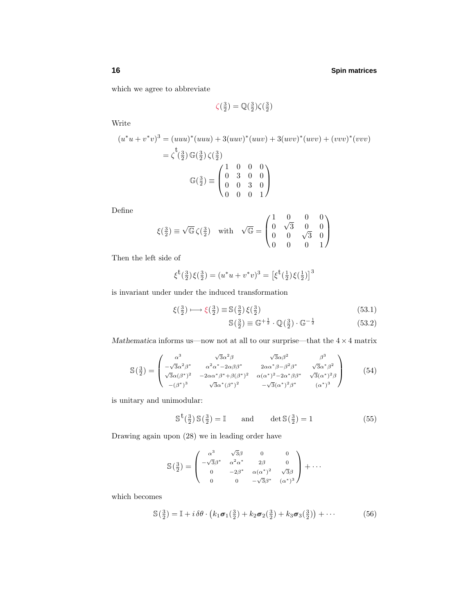which we agree to abbreviate

$$
\zeta(\tfrac{3}{2}) = \mathbb{Q}(\tfrac{3}{2})\zeta(\tfrac{3}{2})
$$

Write

$$
(u^*u + v^*v)^3 = (uuu)^*(uuu) + 3(uuv)^*(uuv) + 3(uvv)^*(uvv) + (vvv)^*(vvv)
$$
  

$$
= \zeta^{\binom{3}{2}} \mathbb{G}(\frac{3}{2}) \zeta(\frac{3}{2})
$$
  

$$
\mathbb{G}(\frac{3}{2}) \equiv \begin{pmatrix} 1 & 0 & 0 & 0 \\ 0 & 3 & 0 & 0 \\ 0 & 0 & 3 & 0 \\ 0 & 0 & 0 & 1 \end{pmatrix}
$$

Define

$$
\xi(\frac{3}{2}) \equiv \sqrt{\mathbb{G}} \,\zeta(\frac{3}{2}) \quad \text{with} \quad \sqrt{\mathbb{G}} = \begin{pmatrix} 1 & 0 & 0 & 0 \\ 0 & \sqrt{3} & 0 & 0 \\ 0 & 0 & \sqrt{3} & 0 \\ 0 & 0 & 0 & 1 \end{pmatrix}
$$

Then the left side of

$$
\xi^{\mathbf{t}}(\frac{3}{2})\xi(\frac{3}{2}) = (u^*u + v^*v)^3 = [\xi^{\mathbf{t}}(\frac{1}{2})\xi(\frac{1}{2})]^3
$$

is invariant under under the induced transformation

$$
\xi(\frac{3}{2}) \longmapsto \xi(\frac{3}{2}) \equiv \mathbb{S}(\frac{3}{2}) \xi(\frac{3}{2}) \tag{53.1}
$$

$$
\mathbb{S}\left(\frac{3}{2}\right) \equiv \mathbb{G}^{+\frac{1}{2}} \cdot \mathbb{Q}\left(\frac{3}{2}\right) \cdot \mathbb{G}^{-\frac{1}{2}} \tag{53.2}
$$

*Mathematica* informs us—now not at all to our surprise—that the  $4\times 4$  matrix

$$
\mathbb{S}\left(\frac{3}{2}\right) = \begin{pmatrix} \alpha^3 & \sqrt{3}\alpha^2\beta & \sqrt{3}\alpha\beta^2 & \beta^3\\ -\sqrt{3}\alpha^2\beta^* & \alpha^2\alpha^* - 2\alpha\beta\beta^* & 2\alpha\alpha^*\beta - \beta^2\beta^* & \sqrt{3}\alpha^*\beta^2\\ \sqrt{3}\alpha(\beta^*)^2 & -2\alpha\alpha^*\beta^* + \beta(\beta^*)^2 & \alpha(\alpha^*)^2 - 2\alpha^*\beta\beta^* & \sqrt{3}(\alpha^*)^2\beta\\ -(\beta^*)^3 & \sqrt{3}\alpha^*(\beta^*)^2 & -\sqrt{3}(\alpha^*)^2\beta^* & (\alpha^*)^3 \end{pmatrix} \tag{54}
$$

is unitary and unimodular:

$$
\mathbb{S}^{\mathsf{t}}(\frac{3}{2})\,\mathbb{S}(\frac{3}{2}) = \mathbb{I} \qquad \text{and} \qquad \det \mathbb{S}(\frac{3}{2}) = 1 \tag{55}
$$

Drawing again upon (28) we in leading order have

$$
\mathbb{S}\left(\frac{3}{2}\right) = \begin{pmatrix} \alpha^3 & \sqrt{3}\beta & 0 & 0\\ -\sqrt{3}\beta^* & \alpha^2\alpha^* & 2\beta & 0\\ 0 & -2\beta^* & \alpha(\alpha^*)^2 & \sqrt{3}\beta\\ 0 & 0 & -\sqrt{3}\beta^* & (\alpha^*)^3 \end{pmatrix} + \cdots
$$

which becomes

$$
\mathbb{S}\left(\frac{3}{2}\right) = \mathbb{I} + i \,\delta\theta \cdot \left(k_1 \boldsymbol{\sigma}_1\left(\frac{3}{2}\right) + k_2 \boldsymbol{\sigma}_2\left(\frac{3}{2}\right) + k_3 \boldsymbol{\sigma}_3\left(\frac{3}{2}\right)\right) + \cdots \tag{56}
$$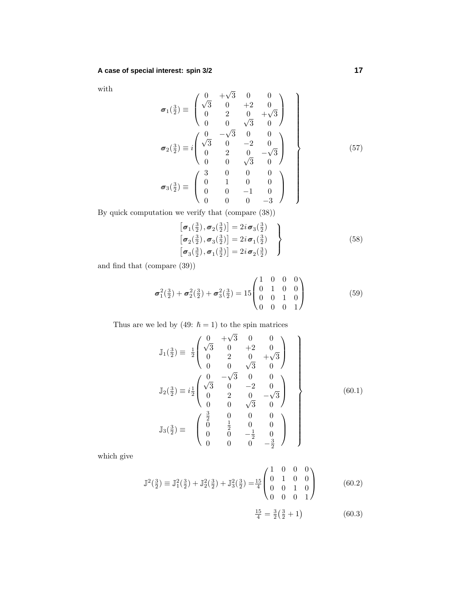with

$$
\sigma_1(\frac{3}{2}) \equiv \begin{pmatrix} 0 & +\sqrt{3} & 0 & 0 \\ \sqrt{3} & 0 & +2 & 0 \\ 0 & 2 & 0 & +\sqrt{3} \\ 0 & 0 & \sqrt{3} & 0 \end{pmatrix}
$$

$$
\sigma_2(\frac{3}{2}) \equiv i \begin{pmatrix} 0 & -\sqrt{3} & 0 & 0 \\ \sqrt{3} & 0 & -2 & 0 \\ 0 & 2 & 0 & -\sqrt{3} \\ 0 & 0 & \sqrt{3} & 0 \end{pmatrix}
$$

$$
\sigma_3(\frac{3}{2}) \equiv \begin{pmatrix} 3 & 0 & 0 & 0 \\ 0 & 1 & 0 & 0 \\ 0 & 0 & -1 & 0 \\ 0 & 0 & 0 & -3 \end{pmatrix}
$$
(57)

By quick computation we verify that (compare (38))

$$
\begin{aligned}\n\left[\sigma_1(\frac{3}{2}), \sigma_2(\frac{3}{2})\right] &= 2i\sigma_3(\frac{3}{2}) \\
\left[\sigma_2(\frac{3}{2}), \sigma_3(\frac{3}{2})\right] &= 2i\sigma_1(\frac{3}{2}) \\
\left[\sigma_3(\frac{3}{2}), \sigma_1(\frac{3}{2})\right] &= 2i\sigma_2(\frac{3}{2})\n\end{aligned}
$$
\n(58)

and find that (compare (39))

$$
\boldsymbol{\sigma}_1^2(\tfrac{3}{2}) + \boldsymbol{\sigma}_2^2(\tfrac{3}{2}) + \boldsymbol{\sigma}_3^2(\tfrac{3}{2}) = 15 \begin{pmatrix} 1 & 0 & 0 & 0 \\ 0 & 1 & 0 & 0 \\ 0 & 0 & 1 & 0 \\ 0 & 0 & 0 & 1 \end{pmatrix}
$$
(59)

Thus are we led by (49:  $\hbar = 1$ ) to the spin matrices

$$
\mathbb{J}_{1}(\frac{3}{2}) \equiv \frac{1}{2} \begin{pmatrix} 0 & +\sqrt{3} & 0 & 0 \\ \sqrt{3} & 0 & +2 & 0 \\ 0 & 2 & 0 & +\sqrt{3} \\ 0 & 0 & \sqrt{3} & 0 \end{pmatrix}
$$

$$
\mathbb{J}_{2}(\frac{3}{2}) \equiv i\frac{1}{2} \begin{pmatrix} 0 & -\sqrt{3} & 0 & 0 \\ \sqrt{3} & 0 & -2 & 0 \\ 0 & 2 & 0 & -\sqrt{3} \\ 0 & 0 & \sqrt{3} & 0 \end{pmatrix}
$$

$$
\mathbb{J}_{3}(\frac{3}{2}) \equiv \begin{pmatrix} \frac{3}{2} & 0 & 0 & 0 \\ 0 & \frac{1}{2} & 0 & 0 \\ 0 & 0 & -\frac{1}{2} & 0 \\ 0 & 0 & 0 & -\frac{3}{2} \end{pmatrix}
$$
(60.1)

which give

$$
\mathbb{J}^{2}(\frac{3}{2}) \equiv \mathbb{J}_{1}^{2}(\frac{3}{2}) + \mathbb{J}_{2}^{2}(\frac{3}{2}) + \mathbb{J}_{3}^{2}(\frac{3}{2}) = \frac{15}{4} \begin{pmatrix} 1 & 0 & 0 & 0 \\ 0 & 1 & 0 & 0 \\ 0 & 0 & 1 & 0 \\ 0 & 0 & 0 & 1 \end{pmatrix}
$$
 (60.2)  

$$
\frac{15}{4} = \frac{3}{2}(\frac{3}{2} + 1)
$$
 (60.3)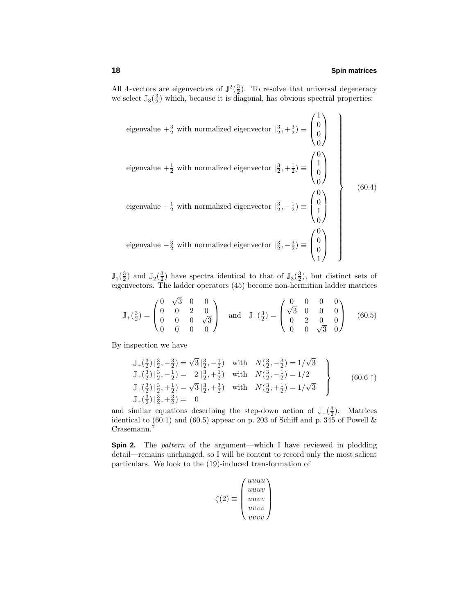All 4-vectors are eigenvectors of  $\mathbb{J}^2(\frac{3}{2})$ . To resolve that universal degeneracy we select  $\mathbb{J}_{3}(\frac{3}{2})$  which, because it is diagonal, has obvious spectral properties:

eigenvalue 
$$
+\frac{3}{2}
$$
 with normalized eigenvector  $|\frac{3}{2}, +\frac{3}{2}\rangle \equiv \begin{pmatrix} 1 \\ 0 \\ 0 \\ 0 \end{pmatrix}$   
\neigenvalue  $+\frac{1}{2}$  with normalized eigenvector  $|\frac{3}{2}, +\frac{1}{2}\rangle \equiv \begin{pmatrix} 0 \\ 1 \\ 0 \\ 0 \end{pmatrix}$   
\neigenvalue  $-\frac{1}{2}$  with normalized eigenvector  $|\frac{3}{2}, -\frac{1}{2}\rangle \equiv \begin{pmatrix} 0 \\ 0 \\ 1 \\ 0 \end{pmatrix}$   
\neigenvalue  $-\frac{3}{2}$  with normalized eigenvector  $|\frac{3}{2}, -\frac{3}{2}\rangle \equiv \begin{pmatrix} 0 \\ 0 \\ 0 \\ 1 \end{pmatrix}$ 

 $\mathbb{J}_{1}(\frac{3}{2})$  and  $\mathbb{J}_{2}(\frac{3}{2})$  have spectra identical to that of  $\mathbb{J}_{3}(\frac{3}{2})$ , but distinct sets of eigenvectors. The ladder operators (45) become non-hermitian ladder matrices

$$
\mathbb{J}_{+}(\frac{3}{2}) = \begin{pmatrix} 0 & \sqrt{3} & 0 & 0 \\ 0 & 0 & 2 & 0 \\ 0 & 0 & 0 & \sqrt{3} \\ 0 & 0 & 0 & 0 \end{pmatrix} \text{ and } \mathbb{J}_{-}(\frac{3}{2}) = \begin{pmatrix} 0 & 0 & 0 & 0 \\ \sqrt{3} & 0 & 0 & 0 \\ 0 & 2 & 0 & 0 \\ 0 & 0 & \sqrt{3} & 0 \end{pmatrix} \quad (60.5)
$$

By inspection we have

$$
\mathbb{J}_{+}(\frac{3}{2})\left|\frac{3}{2},-\frac{3}{2}\right) = \sqrt{3}\left|\frac{3}{2},-\frac{1}{2}\right) \text{ with } N(\frac{3}{2},-\frac{3}{2}) = 1/\sqrt{3} \n\mathbb{J}_{+}(\frac{3}{2})\left|\frac{3}{2},-\frac{1}{2}\right) = 2\left|\frac{3}{2},+\frac{1}{2}\right) \text{ with } N(\frac{3}{2},-\frac{1}{2}) = 1/2 \n\mathbb{J}_{+}(\frac{3}{2})\left|\frac{3}{2},+\frac{1}{2}\right) = \sqrt{3}\left|\frac{3}{2},+\frac{3}{2}\right) \text{ with } N(\frac{3}{2},+\frac{1}{2}) = 1/\sqrt{3} \n\mathbb{J}_{+}(\frac{3}{2})\left|\frac{3}{2},+\frac{3}{2}\right) = 0
$$
\n(60.6<sup>†</sup>)

and similar equations describing the step-down action of  $\mathbb{J}_-(\frac{3}{2})$ . Matrices identical to  $(60.1)$  and  $(60.5)$  appear on p. 203 of Schiff and p. 345 of Powell & Crasemann.<sup>7</sup>

**Spin 2.** The *pattern* of the argument—which I have reviewed in plodding detail—remains unchanged, so I will be content to record only the most salient particulars. We look to the (19)-induced transformation of

$$
\zeta(2) \equiv \begin{pmatrix} u u u u \\ u u v v \\ u v v v \\ v v v v \end{pmatrix}
$$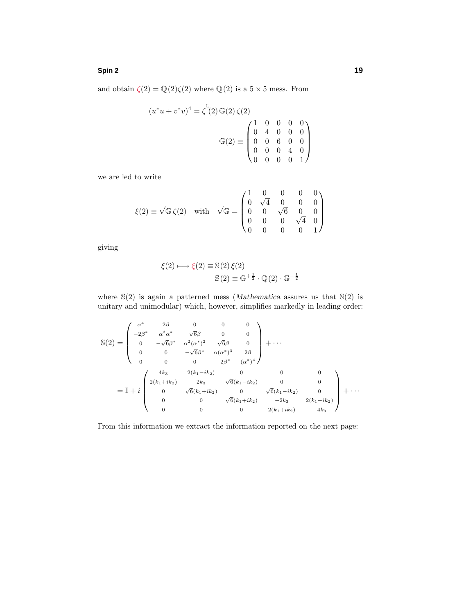#### **Spin 2 19**

and obtain  $\zeta(2) = \mathbb{Q}(2)\zeta(2)$  where  $\mathbb{Q}(2)$  is a  $5 \times 5$  mess. From

$$
(u^*u + v^*v)^4 = \zeta^{\mathfrak{t}}(2) \mathbb{G}(2) \zeta(2)
$$

$$
\mathbb{G}(2) \equiv \begin{pmatrix} 1 & 0 & 0 & 0 & 0 \\ 0 & 4 & 0 & 0 & 0 \\ 0 & 0 & 6 & 0 & 0 \\ 0 & 0 & 0 & 4 & 0 \\ 0 & 0 & 0 & 0 & 1 \end{pmatrix}
$$

we are led to write

$$
\xi(2) \equiv \sqrt{\mathbb{G}} \,\zeta(2) \quad \text{with} \quad \sqrt{\mathbb{G}} = \begin{pmatrix} 1 & 0 & 0 & 0 & 0 \\ 0 & \sqrt{4} & 0 & 0 & 0 \\ 0 & 0 & \sqrt{6} & 0 & 0 \\ 0 & 0 & 0 & \sqrt{4} & 0 \\ 0 & 0 & 0 & 0 & 1 \end{pmatrix}
$$

giving

$$
\xi(2) \longmapsto \xi(2) \equiv \mathbb{S}(2) \, \xi(2)
$$

$$
\mathbb{S}(2) \equiv \mathbb{G}^{+\frac{1}{2}} \cdot \mathbb{Q}(2) \cdot \mathbb{G}^{-\frac{1}{2}}
$$

where S(2) is again a patterned mess (*Mathematica* assures us that S(2) is unitary and unimodular) which, however, simplifies markedly in leading order:

$$
\mathbb{S}(2) = \begin{pmatrix}\n\alpha^4 & 2\beta & 0 & 0 & 0 \\
-2\beta^* & \alpha^3\alpha^* & \sqrt{6}\beta & 0 & 0 \\
0 & -\sqrt{6}\beta^* & \alpha^2(\alpha^*)^2 & \sqrt{6}\beta & 0 \\
0 & 0 & -\sqrt{6}\beta^* & \alpha(\alpha^*)^3 & 2\beta \\
0 & 0 & 0 & -2\beta^* & (\alpha^*)^4\n\end{pmatrix} + \cdots
$$
\n
$$
= \mathbb{I} + i \begin{pmatrix}\n4k_3 & 2(k_1 - ik_2) & 0 & 0 & 0 \\
2(k_1 + ik_2) & 2k_3 & \sqrt{6}(k_1 - ik_2) & 0 & 0 \\
0 & \sqrt{6}(k_1 + ik_2) & 0 & \sqrt{6}(k_1 - ik_2) & 0 \\
0 & 0 & \sqrt{6}(k_1 + ik_2) & -2k_3 & 2(k_1 - ik_2) \\
0 & 0 & 0 & 2(k_1 + ik_2) & -4k_3\n\end{pmatrix} + \cdots
$$

From this information we extract the information reported on the next page: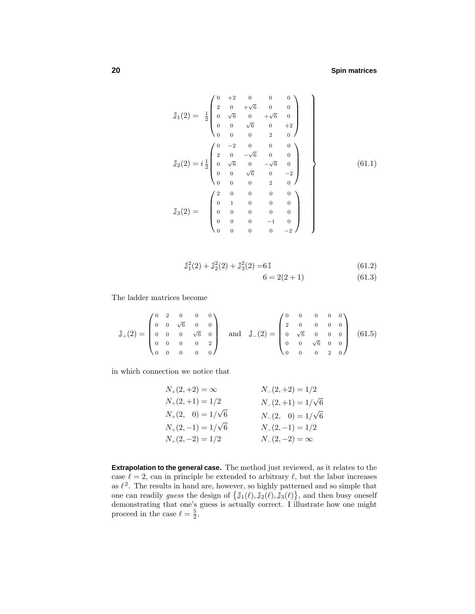$$
\mathbb{J}_1(2) = \frac{1}{2} \begin{pmatrix}\n0 & +2 & 0 & 0 & 0 \\
2 & 0 & +\sqrt{6} & 0 & 0 \\
0 & \sqrt{6} & 0 & +\sqrt{6} & 0 \\
0 & 0 & \sqrt{6} & 0 & +2 \\
0 & 0 & 0 & 2 & 0\n\end{pmatrix}
$$
\n
$$
\mathbb{J}_2(2) = i \frac{1}{2} \begin{pmatrix}\n0 & -2 & 0 & 0 & 0 \\
2 & 0 & -\sqrt{6} & 0 & 0 \\
0 & \sqrt{6} & 0 & -\sqrt{6} & 0 \\
0 & 0 & \sqrt{6} & 0 & -2 \\
0 & 0 & 0 & 2 & 0\n\end{pmatrix}
$$
\n
$$
\mathbb{J}_3(2) = \begin{pmatrix}\n2 & 0 & 0 & 0 & 0 \\
0 & 1 & 0 & 0 & 0 \\
0 & 0 & 0 & 0 & 0 \\
0 & 0 & 0 & 0 & -1 & 0 \\
0 & 0 & 0 & 0 & -2\n\end{pmatrix}
$$
\n(61.1)

$$
\mathbb{J}_{1}^{2}(2) + \mathbb{J}_{2}^{2}(2) + \mathbb{J}_{3}^{2}(2) = 6\mathbb{I}
$$
\n(61.2)  
\n
$$
6 = 2(2+1)
$$
\n(61.3)

The ladder matrices become

$$
\mathbb{J}_{+}(2) = \begin{pmatrix} 0 & 2 & 0 & 0 & 0 \\ 0 & 0 & \sqrt{6} & 0 & 0 \\ 0 & 0 & 0 & \sqrt{6} & 0 \\ 0 & 0 & 0 & 0 & 2 \\ 0 & 0 & 0 & 0 & 0 \end{pmatrix} \text{ and } \mathbb{J}_{-}(2) = \begin{pmatrix} 0 & 0 & 0 & 0 & 0 \\ 2 & 0 & 0 & 0 & 0 \\ 0 & \sqrt{6} & 0 & 0 & 0 \\ 0 & 0 & \sqrt{6} & 0 & 0 \\ 0 & 0 & 0 & 2 & 0 \end{pmatrix} \quad (61.5)
$$

in which connection we notice that

$$
N_{+}(2, +2) = \infty
$$
  
\n
$$
N_{+}(2, +1) = 1/2
$$
  
\n
$$
N_{+}(2, +1) = 1/\sqrt{6}
$$
  
\n
$$
N_{+}(2, 0) = 1/\sqrt{6}
$$
  
\n
$$
N_{-}(2, 0) = 1/\sqrt{6}
$$
  
\n
$$
N_{-}(2, 0) = 1/\sqrt{6}
$$
  
\n
$$
N_{-}(2, -1) = 1/2
$$
  
\n
$$
N_{+}(2, -2) = 1/2
$$
  
\n
$$
N_{-}(2, -2) = \infty
$$

**Extrapolation to the general case.** The method just reviewed, as it relates to the case  $\ell = 2$ , can in principle be extended to arbitrary  $\ell$ , but the labor increases as  $\ell^2$ . The results in hand are, however, so highly patterned and so simple that one can readily *guess* the design of  $\{J_1(\ell), J_2(\ell), J_3(\ell)\}\$ , and then busy oneself demonstrating that one's guess is actually correct. I illustrate how one might proceed in the case  $\ell = \frac{5}{2}$ .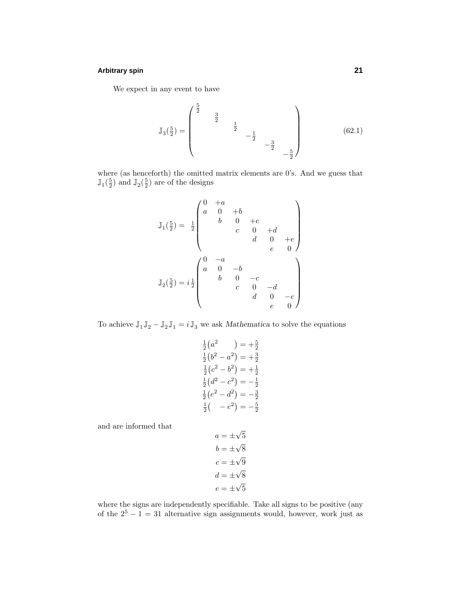# **Arbitrary spin 21**

We expect in any event to have

$$
\mathbb{J}_3\left(\frac{5}{2}\right) = \begin{pmatrix} \frac{5}{2} & & & \\ & & \frac{3}{2} & & \\ & & & -\frac{1}{2} & \\ & & & & -\frac{3}{2} & \\ & & & & & -\frac{5}{2} \end{pmatrix} \tag{62.1}
$$

where (as henceforth) the omitted matrix elements are 0's. And we guess that  $\mathbb{J}_{1}(\frac{5}{2})$  and  $\mathbb{J}_{2}(\frac{5}{2})$  are of the designs

$$
\mathbb{J}_1(\frac{5}{2}) = \frac{1}{2} \begin{pmatrix} 0 & +a & & & & \\ a & 0 & +b & & & \\ & b & 0 & +c & & \\ & & c & 0 & +d & \\ & & & d & 0 & +e \\ & & & & e & 0 \end{pmatrix}
$$

$$
\mathbb{J}_2(\frac{5}{2}) = i\frac{1}{2} \begin{pmatrix} 0 & -a & & & & \\ a & 0 & -b & & & \\ & b & 0 & -c & & \\ & & & c & 0 & -d & \\ & & & & d & 0 & -e \\ & & & & e & 0 \end{pmatrix}
$$

To achieve  $\mathbb{J}_1 \mathbb{J}_2 - \mathbb{J}_2 \mathbb{J}_1 = i \, \mathbb{J}_3$  we ask  $Mathematica$  to solve the equations

$$
\frac{1}{2}(a^2) = +\frac{5}{2}
$$
\n
$$
\frac{1}{2}(b^2 - a^2) = +\frac{3}{2}
$$
\n
$$
\frac{1}{2}(c^2 - b^2) = +\frac{1}{2}
$$
\n
$$
\frac{1}{2}(d^2 - c^2) = -\frac{1}{2}
$$
\n
$$
\frac{1}{2}(e^2 - d^2) = -\frac{3}{2}
$$
\n
$$
\frac{1}{2}(-e^2) = -\frac{5}{2}
$$

and are informed that

$$
a = \pm \sqrt{5}
$$

$$
b = \pm \sqrt{8}
$$

$$
c = \pm \sqrt{9}
$$

$$
d = \pm \sqrt{8}
$$

$$
e = \pm \sqrt{5}
$$

where the signs are independently specifiable. Take all signs to be positive (any of the  $2^5 - 1 = 31$  alternative sign assignments would, however, work just as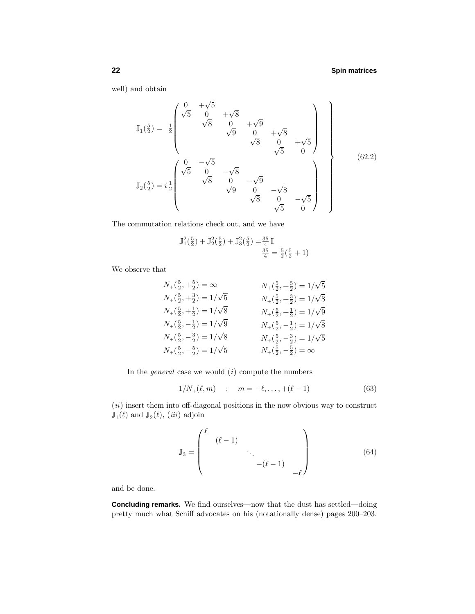well) and obtain

$$
\mathbb{J}_{1}(\frac{5}{2}) = \frac{1}{2} \begin{pmatrix} 0 & +\sqrt{5} & & & & & \\ \sqrt{5} & 0 & +\sqrt{8} & & & & \\ & \sqrt{8} & 0 & +\sqrt{8} & & & \\ & & \sqrt{9} & 0 & +\sqrt{8} & & \\ & & & \sqrt{8} & 0 & +\sqrt{5} & \\ & & & & \sqrt{5} & 0 & \\ & & & & \sqrt{5} & 0 & \\ & & & & \sqrt{8} & 0 & -\sqrt{9} & \\ & & & & & \sqrt{8} & 0 & -\sqrt{8} & \\ & & & & & \sqrt{8} & 0 & -\sqrt{5} & \\ & & & & & \sqrt{8} & 0 & -\sqrt{5} & \\ & & & & & \sqrt{5} & 0 & \end{pmatrix}
$$
(62.2)

The commutation relations check out, and we have

$$
\mathbb{J}_{1}^{2}(\frac{5}{2}) + \mathbb{J}_{2}^{2}(\frac{5}{2}) + \mathbb{J}_{3}^{2}(\frac{5}{2}) = \frac{35}{4} \mathbb{I}
$$

$$
\frac{35}{4} = \frac{5}{2}(\frac{5}{2} + 1)
$$

We observe that

$$
N_{+}(\frac{5}{2}, +\frac{5}{2}) = \infty
$$
  
\n
$$
N_{+}(\frac{5}{2}, +\frac{3}{2}) = 1/\sqrt{5}
$$
  
\n
$$
N_{+}(\frac{5}{2}, +\frac{3}{2}) = 1/\sqrt{5}
$$
  
\n
$$
N_{+}(\frac{5}{2}, +\frac{1}{2}) = 1/\sqrt{8}
$$
  
\n
$$
N_{+}(\frac{5}{2}, -\frac{1}{2}) = 1/\sqrt{9}
$$
  
\n
$$
N_{+}(\frac{5}{2}, -\frac{3}{2}) = 1/\sqrt{9}
$$
  
\n
$$
N_{+}(\frac{5}{2}, -\frac{3}{2}) = 1/\sqrt{8}
$$
  
\n
$$
N_{+}(\frac{5}{2}, -\frac{3}{2}) = 1/\sqrt{5}
$$
  
\n
$$
N_{+}(\frac{5}{2}, -\frac{3}{2}) = 1/\sqrt{5}
$$
  
\n
$$
N_{+}(\frac{5}{2}, -\frac{3}{2}) = 1/\sqrt{5}
$$
  
\n
$$
N_{+}(\frac{5}{2}, -\frac{3}{2}) = 1/\sqrt{5}
$$
  
\n
$$
N_{+}(\frac{5}{2}, -\frac{5}{2}) = \infty
$$

In the *general* case we would  $(i)$  compute the numbers

$$
1/N_{+}(\ell, m) : m = -\ell, \dots, +(\ell - 1)
$$
 (63)

 $(ii)$  insert them into off-diagonal positions in the now obvious way to construct  $\mathbb{J}_{1}(\ell)$  and  $\mathbb{J}_{2}(\ell),$   $(iii)$  adjoin

$$
\mathbb{J}_3 = \begin{pmatrix} \ell & (\ell - 1) & & & \\ & (\ell - 1) & & \\ & & \ddots & \\ & & & -(\ell - 1) & \\ & & & -\ell \end{pmatrix}
$$
 (64)

and be done.

**Concluding remarks.** We find ourselves—now that the dust has settled—doing pretty much what Schiff advocates on his (notationally dense) pages 200–203.